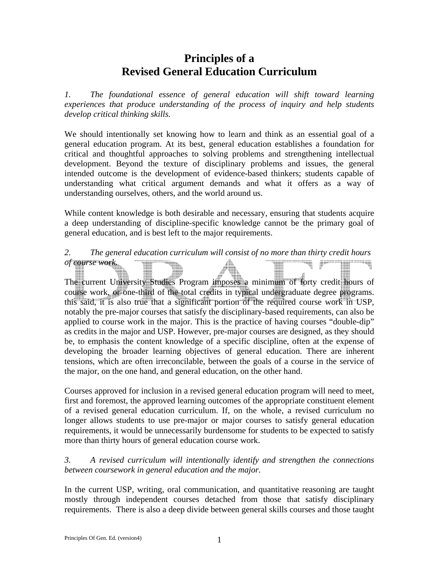# **Principles of a Revised General Education Curriculum**

*1. The foundational essence of general education will shift toward learning experiences that produce understanding of the process of inquiry and help students develop critical thinking skills.* 

We should intentionally set knowing how to learn and think as an essential goal of a general education program. At its best, general education establishes a foundation for critical and thoughtful approaches to solving problems and strengthening intellectual development. Beyond the texture of disciplinary problems and issues, the general intended outcome is the development of evidence-based thinkers; students capable of understanding what critical argument demands and what it offers as a way of understanding ourselves, others, and the world around us.

While content knowledge is both desirable and necessary, ensuring that students acquire a deep understanding of discipline-specific knowledge cannot be the primary goal of general education, and is best left to the major requirements.

### *2. The general education curriculum will consist of no more than thirty credit hours of course work.* <u>UI III BIBITI MANU III BI BI</u>

The current University Studies Program imposes a minimum of forty credit hours of course work, or one-third of the total credits in typical undergraduate degree programs. this said, it is also true that a significant portion of the required course work in USP, notably the pre-major courses that satisfy the disciplinary-based requirements, can also be applied to course work in the major. This is the practice of having courses "double-dip" as credits in the major and USP. However, pre-major courses are designed, as they should be, to emphasis the content knowledge of a specific discipline, often at the expense of developing the broader learning objectives of general education. There are inherent tensions, which are often irreconcilable, between the goals of a course in the service of the major, on the one hand, and general education, on the other hand.

Courses approved for inclusion in a revised general education program will need to meet, first and foremost, the approved learning outcomes of the appropriate constituent element of a revised general education curriculum. If, on the whole, a revised curriculum no longer allows students to use pre-major or major courses to satisfy general education requirements, it would be unnecessarily burdensome for students to be expected to satisfy more than thirty hours of general education course work.

## *3. A revised curriculum will intentionally identify and strengthen the connections between coursework in general education and the major.*

In the current USP, writing, oral communication, and quantitative reasoning are taught mostly through independent courses detached from those that satisfy disciplinary requirements. There is also a deep divide between general skills courses and those taught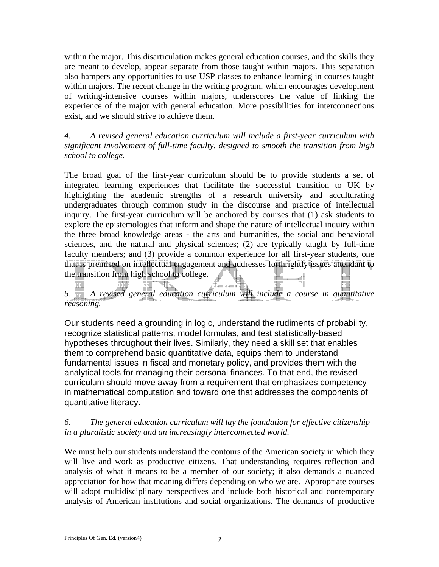within the major. This disarticulation makes general education courses, and the skills they are meant to develop, appear separate from those taught within majors. This separation also hampers any opportunities to use USP classes to enhance learning in courses taught within majors. The recent change in the writing program, which encourages development of writing-intensive courses within majors, underscores the value of linking the experience of the major with general education. More possibilities for interconnections exist, and we should strive to achieve them.

*4. A revised general education curriculum will include a first-year curriculum with significant involvement of full-time faculty, designed to smooth the transition from high school to college.* 

The broad goal of the first-year curriculum should be to provide students a set of integrated learning experiences that facilitate the successful transition to UK by highlighting the academic strengths of a research university and acculturating undergraduates through common study in the discourse and practice of intellectual inquiry. The first-year curriculum will be anchored by courses that (1) ask students to explore the epistemologies that inform and shape the nature of intellectual inquiry within the three broad knowledge areas - the arts and humanities, the social and behavioral sciences, and the natural and physical sciences; (2) are typically taught by full-time faculty members; and (3) provide a common experience for all first-year students, one that is premised on intellectual engagement and addresses forthrightly issues attendant to the transition from high school to college. **Manageria** 

*5*. *A revised general education curriculum will include a course in quantitative reasoning.* 

Our students need a grounding in logic, understand the rudiments of probability, recognize statistical patterns, model formulas, and test statistically-based hypotheses throughout their lives. Similarly, they need a skill set that enables them to comprehend basic quantitative data, equips them to understand fundamental issues in fiscal and monetary policy, and provides them with the analytical tools for managing their personal finances. To that end, the revised curriculum should move away from a requirement that emphasizes competency in mathematical computation and toward one that addresses the components of quantitative literacy.

## *6. The general education curriculum will lay the foundation for effective citizenship in a pluralistic society and an increasingly interconnected world.*

We must help our students understand the contours of the American society in which they will live and work as productive citizens. That understanding requires reflection and analysis of what it means to be a member of our society; it also demands a nuanced appreciation for how that meaning differs depending on who we are. Appropriate courses will adopt multidisciplinary perspectives and include both historical and contemporary analysis of American institutions and social organizations. The demands of productive